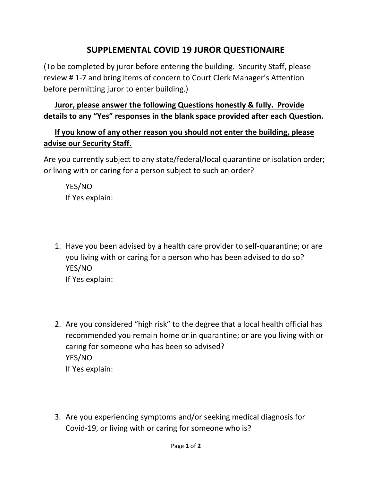## **SUPPLEMENTAL COVID 19 JUROR QUESTIONAIRE**

(To be completed by juror before entering the building. Security Staff, please review # 1-7 and bring items of concern to Court Clerk Manager's Attention before permitting juror to enter building.)

## **Juror, please answer the following Questions honestly & fully. Provide details to any "Yes" responses in the blank space provided after each Question.**

## **If you know of any other reason you should not enter the building, please advise our Security Staff.**

Are you currently subject to any state/federal/local quarantine or isolation order; or living with or caring for a person subject to such an order?

YES/NO If Yes explain:

- 1. Have you been advised by a health care provider to self-quarantine; or are you living with or caring for a person who has been advised to do so? YES/NO If Yes explain:
- 2. Are you considered "high risk" to the degree that a local health official has recommended you remain home or in quarantine; or are you living with or caring for someone who has been so advised? YES/NO If Yes explain:
- 3. Are you experiencing symptoms and/or seeking medical diagnosis for Covid-19, or living with or caring for someone who is?